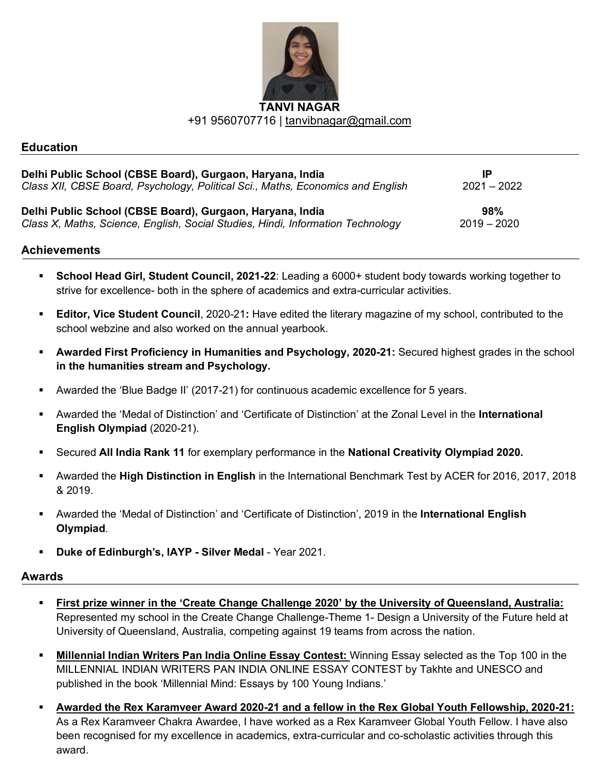

#### **Education**

| Delhi Public School (CBSE Board), Gurgaon, Haryana, India                       | IP            |
|---------------------------------------------------------------------------------|---------------|
| Class XII, CBSE Board, Psychology, Political Sci., Maths, Economics and English | $2021 - 2022$ |
| Delhi Public School (CBSE Board), Gurgaon, Haryana, India                       | 98%           |
| Class X, Maths, Science, English, Social Studies, Hindi, Information Technology | $2019 - 2020$ |

#### **Achievements**

- § **School Head Girl, Student Council, 2021-22**: Leading a 6000+ student body towards working together to strive for excellence- both in the sphere of academics and extra-curricular activities.
- § **Editor, Vice Student Council**, 2020-21**:** Have edited the literary magazine of my school, contributed to the school webzine and also worked on the annual yearbook.
- § **Awarded First Proficiency in Humanities and Psychology, 2020-21:** Secured highest grades in the school **in the humanities stream and Psychology.**
- § Awarded the 'Blue Badge II' (2017-21) for continuous academic excellence for 5 years.
- § Awarded the 'Medal of Distinction' and 'Certificate of Distinction' at the Zonal Level in the **International English Olympiad** (2020-21).
- § Secured **All India Rank 11** for exemplary performance in the **National Creativity Olympiad 2020.**
- § Awarded the **High Distinction in English** in the International Benchmark Test by ACER for 2016, 2017, 2018 & 2019.
- § Awarded the 'Medal of Distinction' and 'Certificate of Distinction', 2019 in the **International English Olympiad**.
- § **Duke of Edinburgh's, IAYP - Silver Medal** Year 2021.

#### **Awards**

- § **First prize winner in the 'Create Change Challenge 2020' by the University of Queensland, Australia:** Represented my school in the Create Change Challenge-Theme 1- Design a University of the Future held at University of Queensland, Australia, competing against 19 teams from across the nation.
- § **Millennial Indian Writers Pan India Online Essay Contest:** Winning Essay selected as the Top 100 in the MILLENNIAL INDIAN WRITERS PAN INDIA ONLINE ESSAY CONTEST by Takhte and UNESCO and published in the book 'Millennial Mind: Essays by 100 Young Indians.'
- § **Awarded the Rex Karamveer Award 2020-21 and a fellow in the Rex Global Youth Fellowship, 2020-21:** As a Rex Karamveer Chakra Awardee, I have worked as a Rex Karamveer Global Youth Fellow. I have also been recognised for my excellence in academics, extra-curricular and co-scholastic activities through this award.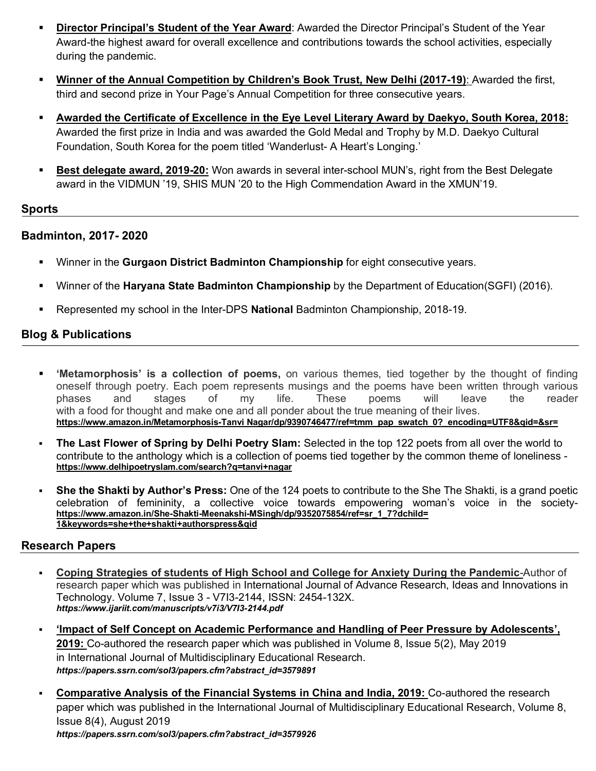- § **Director Principal's Student of the Year Award**: Awarded the Director Principal's Student of the Year Award-the highest award for overall excellence and contributions towards the school activities, especially during the pandemic.
- § **Winner of the Annual Competition by Children's Book Trust, New Delhi (2017-19)**: Awarded the first, third and second prize in Your Page's Annual Competition for three consecutive years.
- § **Awarded the Certificate of Excellence in the Eye Level Literary Award by Daekyo, South Korea, 2018:** Awarded the first prize in India and was awarded the Gold Medal and Trophy by M.D. Daekyo Cultural Foundation, South Korea for the poem titled 'Wanderlust- A Heart's Longing.'
- § **Best delegate award, 2019-20:** Won awards in several inter-school MUN's, right from the Best Delegate award in the VIDMUN '19, SHIS MUN '20 to the High Commendation Award in the XMUN'19.

## **Sports**

## **Badminton, 2017- 2020**

- § Winner in the **Gurgaon District Badminton Championship** for eight consecutive years.
- § Winner of the **Haryana State Badminton Championship** by the Department of Education(SGFI) (2016).
- § Represented my school in the Inter-DPS **National** Badminton Championship, 2018-19.

# **Blog & Publications**

- § **'Metamorphosis' is a collection of poems,** on various themes, tied together by the thought of finding oneself through poetry. Each poem represents musings and the poems have been written through various phases and stages of my life. These poems will leave the reader with a food for thought and make one and all ponder about the true meaning of their lives. **https://www.amazon.in/Metamorphosis-Tanvi Nagar/dp/9390746477/ref=tmm\_pap\_swatch\_0?\_encoding=UTF8&qid=&sr=**
- § **The Last Flower of Spring by Delhi Poetry Slam:** Selected in the top 122 poets from all over the world to contribute to the anthology which is a collection of poems tied together by the common theme of loneliness **https://www.delhipoetryslam.com/search?q=tanvi+nagar**
- § **She the Shakti by Author's Press:** One of the 124 poets to contribute to the She The Shakti, is a grand poetic celebration of femininity, a collective voice towards empowering woman's voice in the society **https://www.amazon.in/She-Shakti-Meenakshi-MSingh/dp/9352075854/ref=sr\_1\_7?dchild= 1&keywords=she+the+shakti+authorspress&qid**

## **Research Papers**

- § **Coping Strategies of students of High School and College for Anxiety During the Pandemic**-Author of research paper which was published in International Journal of Advance Research, Ideas and Innovations in Technology. Volume 7, Issue 3 - V7I3-2144, ISSN: 2454-132X. *https://www.ijariit.com/manuscripts/v7i3/V7I3-2144.pdf*
- § **'Impact of Self Concept on Academic Performance and Handling of Peer Pressure by Adolescents', 2019:** Co-authored the research paper which was published in Volume 8, Issue 5(2), May 2019 in International Journal of Multidisciplinary Educational Research. *https://papers.ssrn.com/sol3/papers.cfm?abstract\_id=3579891*
- § **Comparative Analysis of the Financial Systems in China and India, 2019:** Co-authored the research paper which was published in the International Journal of Multidisciplinary Educational Research, Volume 8, Issue 8(4), August 2019 *https://papers.ssrn.com/sol3/papers.cfm?abstract\_id=3579926*